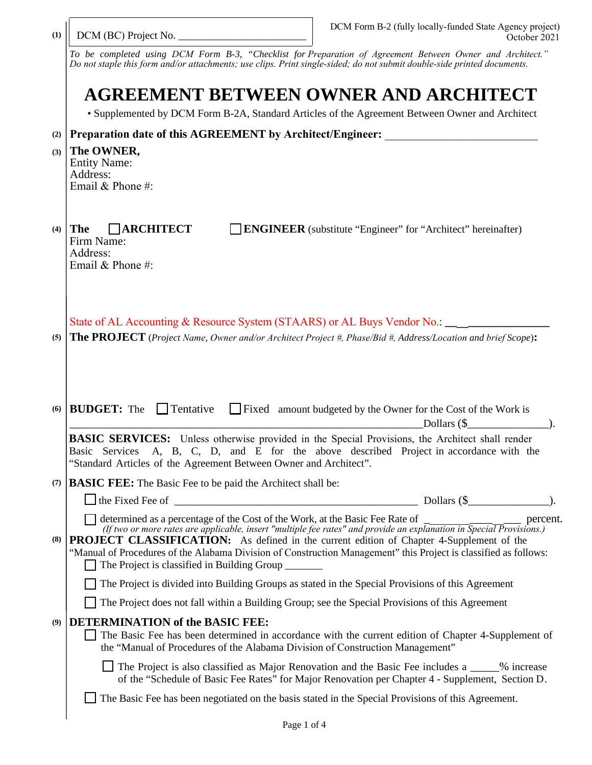| (1) | DCM (BC) Project No.                                                                                                                                                                                                                                                                                                                                                                                                                                                                                           | DCM Form B-2 (fully locally-funded State Agency project)<br>October 2021                         |  |
|-----|----------------------------------------------------------------------------------------------------------------------------------------------------------------------------------------------------------------------------------------------------------------------------------------------------------------------------------------------------------------------------------------------------------------------------------------------------------------------------------------------------------------|--------------------------------------------------------------------------------------------------|--|
|     | To be completed using DCM Form B-3, "Checklist for Preparation of Agreement Between Owner and Architect."<br>Do not staple this form and/or attachments; use clips. Print single-sided; do not submit double-side printed documents.                                                                                                                                                                                                                                                                           |                                                                                                  |  |
|     | AGREEMENT BETWEEN OWNER AND ARCHITECT<br>• Supplemented by DCM Form B-2A, Standard Articles of the Agreement Between Owner and Architect                                                                                                                                                                                                                                                                                                                                                                       |                                                                                                  |  |
|     |                                                                                                                                                                                                                                                                                                                                                                                                                                                                                                                |                                                                                                  |  |
| (2) | Preparation date of this AGREEMENT by Architect/Engineer:                                                                                                                                                                                                                                                                                                                                                                                                                                                      |                                                                                                  |  |
| (3) | The OWNER,<br><b>Entity Name:</b><br>Address:<br>Email & Phone #:                                                                                                                                                                                                                                                                                                                                                                                                                                              |                                                                                                  |  |
| (4) | $\Box$ ARCHITECT<br>  The<br>Firm Name:<br>Address:<br>Email & Phone #:                                                                                                                                                                                                                                                                                                                                                                                                                                        | <b>ENGINEER</b> (substitute "Engineer" for "Architect" hereinafter)                              |  |
| (5) | State of AL Accounting & Resource System (STAARS) or AL Buys Vendor No.: ________<br>The PROJECT (Project Name, Owner and/or Architect Project #, Phase/Bid #, Address/Location and brief Scope):                                                                                                                                                                                                                                                                                                              |                                                                                                  |  |
| (6) | <b>BUDGET:</b> The<br>$\Box$ Tentative<br>Fixed amount budgeted by the Owner for the Cost of the Work is<br>Dollars $(\$$                                                                                                                                                                                                                                                                                                                                                                                      |                                                                                                  |  |
|     | <b>BASIC SERVICES:</b> Unless otherwise provided in the Special Provisions, the Architect shall render<br>A, B, C, D, and E for the above described Project in accordance with the<br>Basic Services<br>"Standard Articles of the Agreement Between Owner and Architect".                                                                                                                                                                                                                                      |                                                                                                  |  |
| (7) | <b>BASIC FEE:</b> The Basic Fee to be paid the Architect shall be:                                                                                                                                                                                                                                                                                                                                                                                                                                             |                                                                                                  |  |
|     | $\Box$ the Fixed Fee of $\Box$                                                                                                                                                                                                                                                                                                                                                                                                                                                                                 |                                                                                                  |  |
| (8) | determined as a percentage of the Cost of the Work, at the Basic Fee Rate of $\frac{1}{\sqrt{1 + \frac{1}{n}}}\$ percent.<br>(If two or more rates are applicable, insert "multiple fee rates" and provide an explanation in Special Provisions<br>PROJECT CLASSIFICATION: As defined in the current edition of Chapter 4-Supplement of the<br>"Manual of Procedures of the Alabama Division of Construction Management" this Project is classified as follows:<br>The Project is classified in Building Group |                                                                                                  |  |
|     | The Project is divided into Building Groups as stated in the Special Provisions of this Agreement                                                                                                                                                                                                                                                                                                                                                                                                              |                                                                                                  |  |
|     | The Project does not fall within a Building Group; see the Special Provisions of this Agreement                                                                                                                                                                                                                                                                                                                                                                                                                |                                                                                                  |  |
| (9) | <b>DETERMINATION of the BASIC FEE:</b><br>The Basic Fee has been determined in accordance with the current edition of Chapter 4-Supplement of<br>the "Manual of Procedures of the Alabama Division of Construction Management"                                                                                                                                                                                                                                                                                 |                                                                                                  |  |
|     | The Project is also classified as Major Renovation and the Basic Fee includes a _____ % increase                                                                                                                                                                                                                                                                                                                                                                                                               | of the "Schedule of Basic Fee Rates" for Major Renovation per Chapter 4 - Supplement, Section D. |  |
|     | The Basic Fee has been negotiated on the basis stated in the Special Provisions of this Agreement.                                                                                                                                                                                                                                                                                                                                                                                                             |                                                                                                  |  |
|     |                                                                                                                                                                                                                                                                                                                                                                                                                                                                                                                |                                                                                                  |  |

 $\overline{\phantom{a}}$ 

. r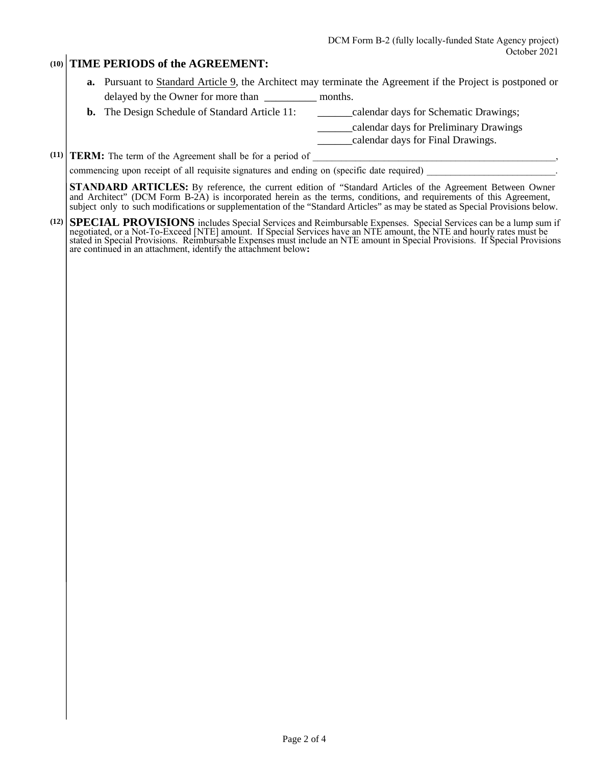## **(10) TIME PERIODS of the AGREEMENT:**

- **a.** Pursuant to Standard Article 9, the Architect may terminate the Agreement if the Project is postponed or delayed by the Owner for more than \_\_\_\_\_\_\_\_\_ months.
- **b.** The Design Schedule of Standard Article 11: \_\_\_\_\_\_\_calendar days for Schematic Drawings;

\_\_\_\_\_\_calendar days for Preliminary Drawings

\_\_\_\_\_\_calendar days for Final Drawings.

 $(11)$  **TERM:** The term of the Agreement shall be for a period of  $\blacksquare$ 

commencing upon receipt of all requisite signatures and ending on (specific date required)

**STANDARD ARTICLES:** By reference, the current edition of "Standard Articles of the Agreement Between Owner and Architect" (DCM Form B-2A) is incorporated herein as the terms, conditions, and requirements of this Agreement, subject only to such modifications or supplementation of the "Standard Articles" as may be stated as Special Provisions below.

**(12) SPECIAL PROVISIONS** includes Special Services and Reimbursable Expenses. Special Services can be a lump sum if negotiated, or a Not-To-Exceed [NTE] amount. If Special Services have an NTE amount, the NTE and hourly rates must be stated in Special Provisions. Reimbursable Expenses must include an NTE amount in Special Provisions. If Special Provisions are continued in an attachment, identify the attachment below**:**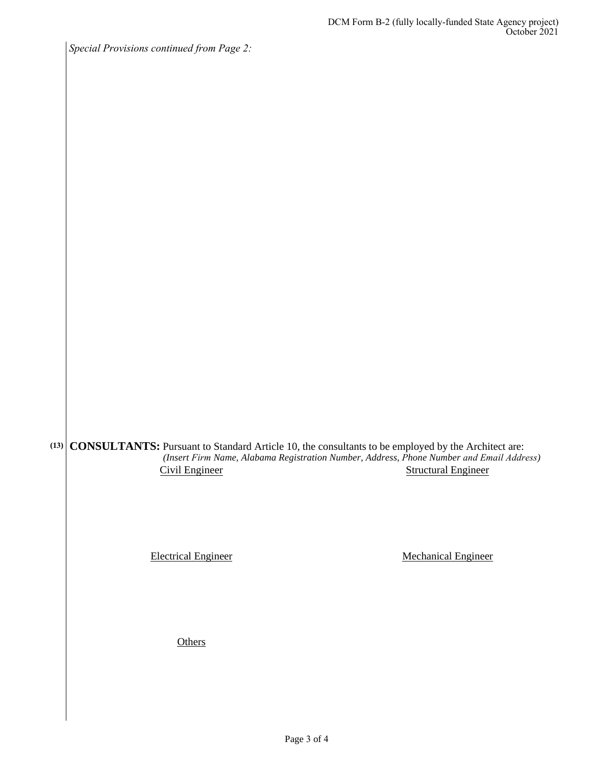*Special Provisions continued from Page 2:*

**CONSULTANTS:** Pursuant to Standard Article 10, the consultants to be employed by the Architect are: **(13)** *(Insert Firm Name, Alabama Registration Number, Address, Phone Number and Email Address)* Civil Engineer Structural Engineer

Electrical Engineer Mechanical Engineer

**Others**